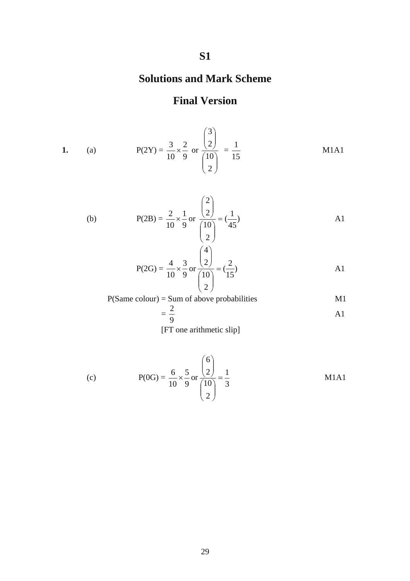## **S1**

## **Solutions and Mark Scheme**

## **Final Version**

1. (a) 
$$
P(2Y) = \frac{3}{10} \times \frac{2}{9}
$$
 or  $\frac{\binom{3}{2}}{\binom{10}{2}} = \frac{1}{15}$  M1A1

(b) 
$$
P(2B) = \frac{2}{10} \times \frac{1}{9} \text{ or } \frac{\binom{2}{2}}{\binom{10}{2}} = \frac{1}{45}
$$
 A1

$$
P(2G) = \frac{4}{10} \times \frac{3}{9} \text{ or } \frac{\binom{4}{2}}{\binom{10}{2}} = \frac{2}{15}
$$

P(Same colour) = Sum of above probabilities  
= 
$$
\frac{2}{9}
$$
 A1

[FT one arithmetic slip]

(c) 
$$
P(0G) = \frac{6}{10} \times \frac{5}{9} \text{ or } \frac{\binom{6}{2}}{\binom{10}{2}} = \frac{1}{3}
$$
 M1A1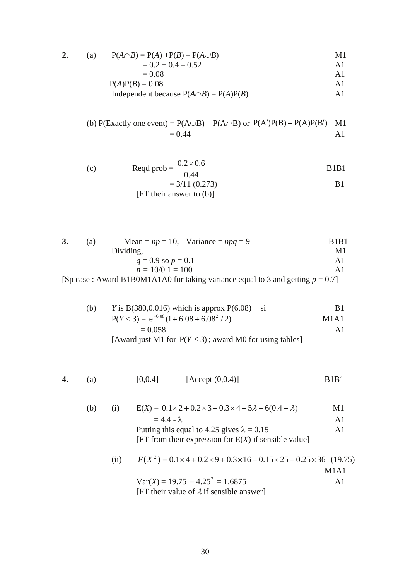$$
2. (a)
$$

2. (a) 
$$
P(A \cap B) = P(A) + P(B) - P(A \cup B)
$$
  
= 0.2 + 0.4 - 0.52  
A1

$$
= 0.08
$$
 
$$
P(A)P(B) = 0.08
$$
 
$$
A1
$$

$$
Independent because P(A \cap B) = P(A)P(B)
$$

(b) P(Exactly one event) = 
$$
P(A \cup B) - P(A \cap B)
$$
 or  $P(A')P(B) + P(A)P(B')$  M1  
= 0.44 A1

(c) 
$$
\text{Reqd prob} = \frac{0.2 \times 0.6}{0.44}
$$
 B1B1  
= 3/11 (0.273)  
[FT their answer to (b)]

| (a) | Mean = $np = 10$ , Variance = $npq = 9$                                                                               | <b>B1B1</b> |
|-----|-----------------------------------------------------------------------------------------------------------------------|-------------|
|     | Dividing,                                                                                                             | Мl          |
|     | Αl                                                                                                                    |             |
|     | $n = 10/0.1 = 100$                                                                                                    | Αl          |
|     | $[\text{S}_{\mathbf{p}}]$ case : Aword $\text{D1}$ DOM1 A 1 AO for taking verticing equal to 2 and gotting $p = 0.71$ |             |

[Sp case : Award B1B0M1A1A0 for taking variance equal to 3 and getting *p* = 0.7]

 (b) *Y* is B(380,0.016) which is approx P(6.08) si B1 P(*Y* < 3) = ) e (1 6.08 6.08 / 2 6.08 <sup>2</sup> + + <sup>−</sup> M1A1 = 0.058 A1

[Award just M1 for  $P(Y \le 3)$ ; award M0 for using tables]

**4.** (a) 
$$
[0,0.4]
$$
  $[\text{Accept } (0,0.4)]$  B1B1

| (b) | (1)  | $E(X) = 0.1 \times 2 + 0.2 \times 3 + 0.3 \times 4 + 5\lambda + 6(0.4 - \lambda)$                            | M1             |
|-----|------|--------------------------------------------------------------------------------------------------------------|----------------|
|     |      | $= 4.4 - \lambda$                                                                                            | A <sub>1</sub> |
|     |      | Putting this equal to 4.25 gives $\lambda = 0.15$<br>[FT from their expression for $E(X)$ if sensible value] | A1             |
|     | (11) | $E(X^2) = 0.1 \times 4 + 0.2 \times 9 + 0.3 \times 16 + 0.15 \times 25 + 0.25 \times 36$ (19.75)             |                |

$$
Var(X) = 19.75 - 4.25^2 = 1.6875
$$
   
11A1  
[FT their value of  $\lambda$  if sensible answer]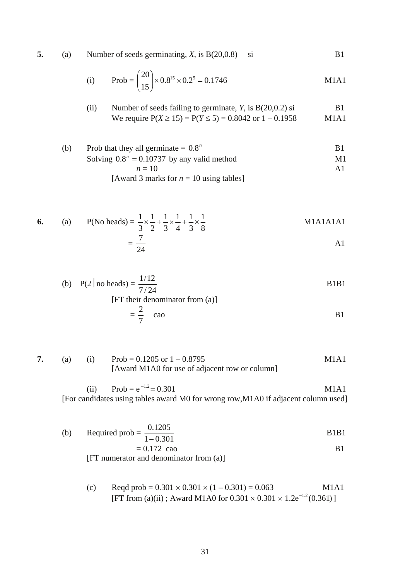**5.** (a) Number of seeds germinating, *X*, is B(20,0.8) si B1

(i) Prob = 
$$
\binom{20}{15} \times 0.8^{15} \times 0.2^5 = 0.1746
$$
 M1A1

(ii) Number of seeds failing to germinate, *Y*, is B(20,0.2) si We require 
$$
P(X \ge 15) = P(Y \le 5) = 0.8042
$$
 or  $1 - 0.1958$  M1A1

(b) Prob that they all germinate = 
$$
0.8^n
$$
  
\nSolving  $0.8^n = 0.10737$  by any valid method  
\n $n = 10$   
\n[Award 3 marks for  $n = 10$  using tables]

6. (a) P(No heads) = 
$$
\frac{1}{3} \times \frac{1}{2} + \frac{1}{3} \times \frac{1}{4} + \frac{1}{3} \times \frac{1}{8}
$$
 M1A1A1A1  
=  $\frac{7}{24}$  A1

(b) 
$$
P(2 \mid \text{no heads}) = \frac{1/12}{7/24}
$$
  
[FT their denominator from (a)]  

$$
= \frac{2}{7} \quad \text{cao}
$$
 B1

7. (a) (i) 
$$
Prob = 0.1205 \text{ or } 1 - 0.8795
$$
  
[Award M1A0 for use of adjacent row or column]

(ii) Prob =  $e^{-1.2}$  = 0.301  $^{-1.2}$  = 0.301 M1A1 [For candidates using tables award M0 for wrong row,M1A0 if adjacent column used]

(b) Required prob = 
$$
\frac{0.1205}{1 - 0.301}
$$
  
= 0.172 cao  
[FT numerator and denominator from (a)]  
B1

(c) 
$$
\text{Reqd prob} = 0.301 \times 0.301 \times (1 - 0.301) = 0.063
$$
 M1A1  
[FT from (a)(ii); Award M1A0 for 0.301 × 0.301 × 1.2e<sup>-1.2</sup>(0.361)]